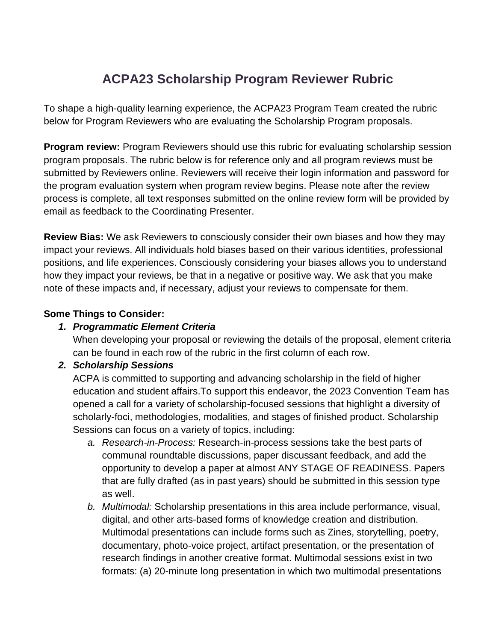# **ACPA23 Scholarship Program Reviewer Rubric**

To shape a high-quality learning experience, the ACPA23 Program Team created the rubric below for Program Reviewers who are evaluating the Scholarship Program proposals.

**Program review:** Program Reviewers should use this rubric for evaluating scholarship session program proposals. The rubric below is for reference only and all program reviews must be submitted by Reviewers online. Reviewers will receive their login information and password for the program evaluation system when program review begins. Please note after the review process is complete, all text responses submitted on the online review form will be provided by email as feedback to the Coordinating Presenter.

**Review Bias:** We ask Reviewers to consciously consider their own biases and how they may impact your reviews. All individuals hold biases based on their various identities, professional positions, and life experiences. Consciously considering your biases allows you to understand how they impact your reviews, be that in a negative or positive way. We ask that you make note of these impacts and, if necessary, adjust your reviews to compensate for them.

#### **Some Things to Consider:**

### *1. Programmatic Element Criteria*

When developing your proposal or reviewing the details of the proposal, element criteria can be found in each row of the rubric in the first column of each row.

### *2. Scholarship Sessions*

ACPA is committed to supporting and advancing scholarship in the field of higher education and student affairs.To support this endeavor, the 2023 Convention Team has opened a call for a variety of scholarship-focused sessions that highlight a diversity of scholarly-foci, methodologies, modalities, and stages of finished product. Scholarship Sessions can focus on a variety of topics, including:

- *a. Research-in-Process:* Research-in-process sessions take the best parts of communal roundtable discussions, paper discussant feedback, and add the opportunity to develop a paper at almost ANY STAGE OF READINESS. Papers that are fully drafted (as in past years) should be submitted in this session type as well.
- *b. Multimodal:* Scholarship presentations in this area include performance, visual, digital, and other arts-based forms of knowledge creation and distribution. Multimodal presentations can include forms such as Zines, storytelling, poetry, documentary, photo-voice project, artifact presentation, or the presentation of research findings in another creative format. Multimodal sessions exist in two formats: (a) 20-minute long presentation in which two multimodal presentations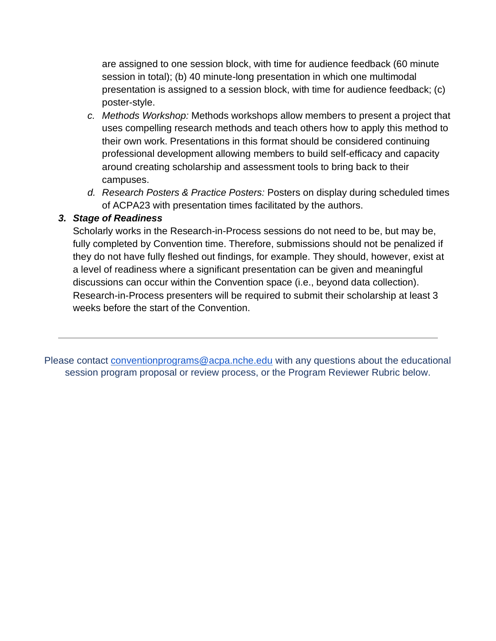are assigned to one session block, with time for audience feedback (60 minute session in total); (b) 40 minute-long presentation in which one multimodal presentation is assigned to a session block, with time for audience feedback; (c) poster-style.

- *c. Methods Workshop:* Methods workshops allow members to present a project that uses compelling research methods and teach others how to apply this method to their own work. Presentations in this format should be considered continuing professional development allowing members to build self-efficacy and capacity around creating scholarship and assessment tools to bring back to their campuses.
- *d. Research Posters & Practice Posters:* Posters on display during scheduled times of ACPA23 with presentation times facilitated by the authors.

#### *3. Stage of Readiness*

Scholarly works in the Research-in-Process sessions do not need to be, but may be, fully completed by Convention time. Therefore, submissions should not be penalized if they do not have fully fleshed out findings, for example. They should, however, exist at a level of readiness where a significant presentation can be given and meaningful discussions can occur within the Convention space (i.e., beyond data collection). Research-in-Process presenters will be required to submit their scholarship at least 3 weeks before the start of the Convention.

Please contact [conventionprograms@acpa.nche.edu](mailto:conventionprograms@acpa.nche.edu) with any questions about the educational session program proposal or review process, or the Program Reviewer Rubric below.